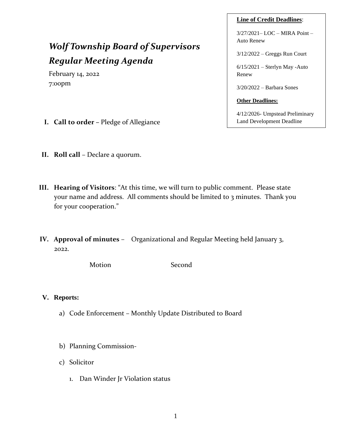#### **Line of Credit Deadlines**:

3/27/2021– LOC – MIRA Point – Auto Renew

3/12/2022 – Greggs Run Court

6/15/2021 – Sterlyn May -Auto Renew

3/20/2022 – Barbara Sones

#### **Other Deadlines:**

4/12/2026- Umpstead Preliminary Land Development Deadline

# *Wolf Township Board of Supervisors Regular Meeting Agenda*

February 14, 2022 7:00pm

- **I. Call to order –** Pledge of Allegiance
- **II. Roll call** Declare a quorum.
- **III. Hearing of Visitors**: "At this time, we will turn to public comment. Please state your name and address. All comments should be limited to 3 minutes. Thank you for your cooperation."
- **IV. Approval of minutes** Organizational and Regular Meeting held January 3, 2022.

Motion Second

## **V. Reports:**

- a) Code Enforcement Monthly Update Distributed to Board
- b) Planning Commission-
- c) Solicitor
	- 1. Dan Winder Jr Violation status